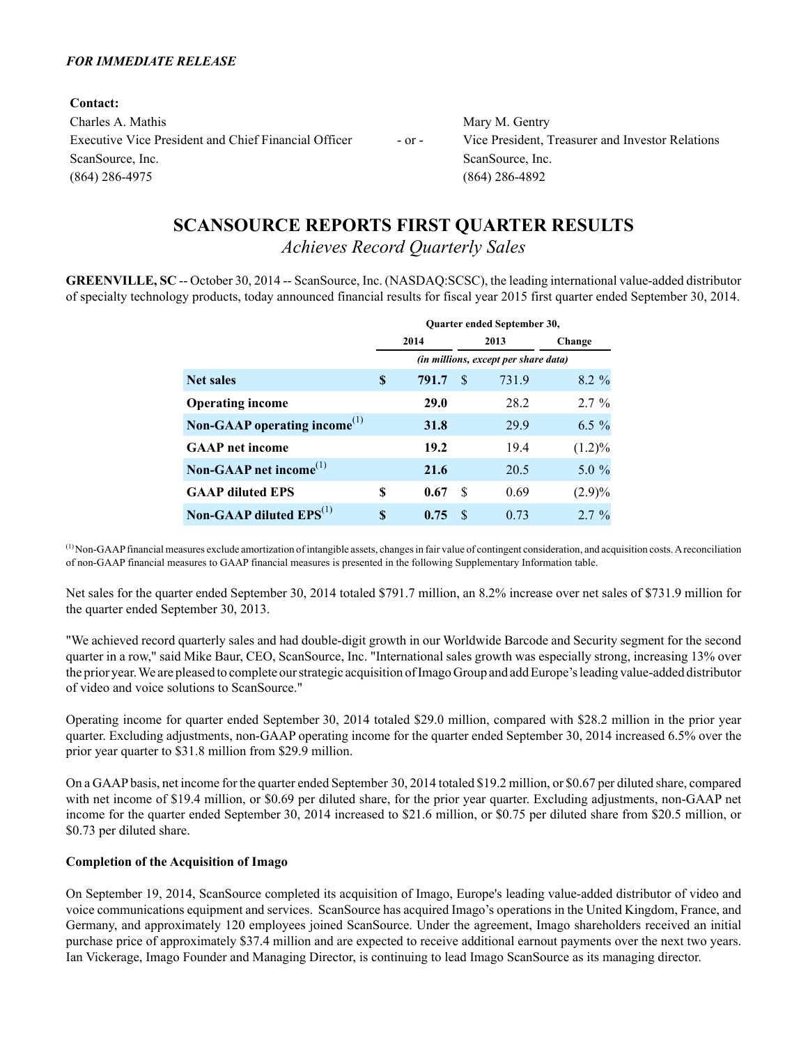### *FOR IMMEDIATE RELEASE*

**Contact:** Charles A. Mathis Mary M. Gentry Executive Vice President and Chief Financial Officer - or - Vice President, Treasurer and Investor Relations ScanSource, Inc. ScanSource, Inc. ScanSource, Inc. (864) 286-4975 (864) 286-4892

# **SCANSOURCE REPORTS FIRST QUARTER RESULTS**

*Achieves Record Quarterly Sales*

**GREENVILLE, SC** -- October 30, 2014 -- ScanSource, Inc. (NASDAQ:SCSC), the leading international value-added distributor of specialty technology products, today announced financial results for fiscal year 2015 first quarter ended September 30, 2014.

|                                                       | Quarter ended September 30, |                                      |     |       |           |  |  |  |
|-------------------------------------------------------|-----------------------------|--------------------------------------|-----|-------|-----------|--|--|--|
|                                                       |                             | 2014                                 |     | 2013  | Change    |  |  |  |
|                                                       |                             | (in millions, except per share data) |     |       |           |  |  |  |
| <b>Net sales</b>                                      | S                           | 791.7                                | \$. | 731.9 | $8.2 \%$  |  |  |  |
| <b>Operating income</b>                               |                             | 29.0                                 |     | 28.2  | $2.7 \%$  |  |  |  |
| Non-GAAP operating income <sup><math>(1)</math></sup> |                             | 31.8                                 |     | 29.9  | $6.5\%$   |  |  |  |
| <b>GAAP</b> net income                                |                             | 19.2                                 |     | 19.4  | $(1.2)\%$ |  |  |  |
| Non-GAAP net income <sup><math>(1)</math></sup>       |                             | 21.6                                 |     | 20.5  | $5.0\%$   |  |  |  |
| <b>GAAP</b> diluted EPS                               | S                           | 0.67                                 | \$. | 0.69  | $(2.9)\%$ |  |  |  |
| Non-GAAP diluted $EPS^{(1)}$                          | S                           | 0.75                                 | \$. | 0.73  | $2.7\%$   |  |  |  |

 $<sup>(1)</sup>$  Non-GAAP financial measures exclude amortization of intangible assets, changes in fair value of contingent consideration, and acquisition costs. A reconciliation</sup> of non-GAAP financial measures to GAAP financial measures is presented in the following Supplementary Information table.

Net sales for the quarter ended September 30, 2014 totaled \$791.7 million, an 8.2% increase over net sales of \$731.9 million for the quarter ended September 30, 2013.

"We achieved record quarterly sales and had double-digit growth in our Worldwide Barcode and Security segment for the second quarter in a row," said Mike Baur, CEO, ScanSource, Inc. "International sales growth was especially strong, increasing 13% over the prior year. We are pleased to complete our strategic acquisition of Imago Group and add Europe's leading value-added distributor of video and voice solutions to ScanSource."

Operating income for quarter ended September 30, 2014 totaled \$29.0 million, compared with \$28.2 million in the prior year quarter. Excluding adjustments, non-GAAPoperating income for the quarter ended September 30, 2014 increased 6.5% over the prior year quarter to \$31.8 million from \$29.9 million.

On a GAAPbasis, net income for the quarter ended September 30, 2014 totaled \$19.2 million, or \$0.67 per diluted share, compared with net income of \$19.4 million, or \$0.69 per diluted share, for the prior year quarter. Excluding adjustments, non-GAAP net income for the quarter ended September 30, 2014 increased to \$21.6 million, or \$0.75 per diluted share from \$20.5 million, or \$0.73 per diluted share.

### **Completion of the Acquisition of Imago**

On September 19, 2014, ScanSource completed its acquisition of Imago, Europe's leading value-added distributor of video and voice communications equipment and services. ScanSource has acquired Imago's operations in the United Kingdom, France, and Germany, and approximately 120 employees joined ScanSource. Under the agreement, Imago shareholders received an initial purchase price of approximately \$37.4 million and are expected to receive additional earnout payments over the next two years. Ian Vickerage, Imago Founder and Managing Director, is continuing to lead Imago ScanSource as its managing director.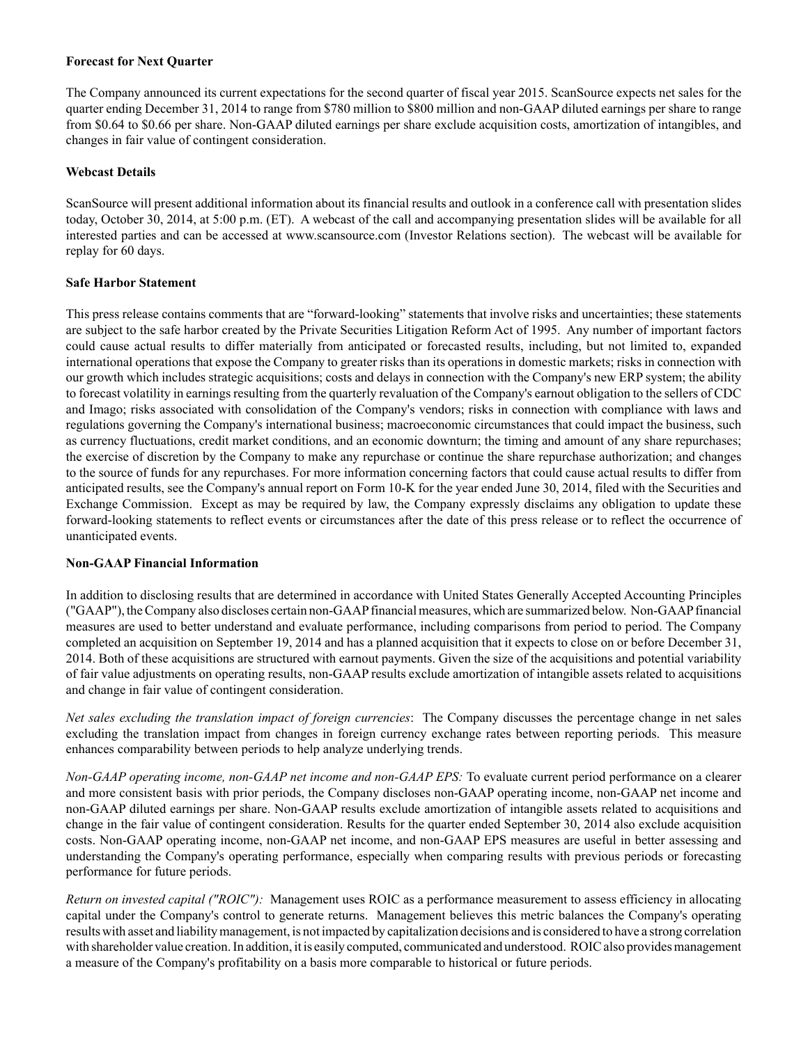### **Forecast for Next Quarter**

The Company announced its current expectations for the second quarter of fiscal year 2015. ScanSource expects net sales for the quarter ending December 31, 2014 to range from \$780 million to \$800 million and non-GAAPdiluted earnings per share to range from \$0.64 to \$0.66 per share. Non-GAAP diluted earnings per share exclude acquisition costs, amortization of intangibles, and changes in fair value of contingent consideration.

### **Webcast Details**

ScanSource will present additional information about its financial results and outlook in a conference call with presentation slides today, October 30, 2014, at 5:00 p.m. (ET). A webcast of the call and accompanying presentation slides will be available for all interested parties and can be accessed at www.scansource.com (Investor Relations section). The webcast will be available for replay for 60 days.

### **Safe Harbor Statement**

This press release contains comments that are "forward-looking" statements that involve risks and uncertainties; these statements are subject to the safe harbor created by the Private Securities Litigation Reform Act of 1995. Any number of important factors could cause actual results to differ materially from anticipated or forecasted results, including, but not limited to, expanded international operations that expose the Company to greater risks than its operations in domestic markets; risks in connection with our growth which includes strategic acquisitions; costs and delays in connection with the Company's new ERP system; the ability to forecast volatility in earnings resulting from the quarterly revaluation of the Company's earnout obligation to the sellers of CDC and Imago; risks associated with consolidation of the Company's vendors; risks in connection with compliance with laws and regulations governing the Company's international business; macroeconomic circumstances that could impact the business, such as currency fluctuations, credit market conditions, and an economic downturn; the timing and amount of any share repurchases; the exercise of discretion by the Company to make any repurchase or continue the share repurchase authorization; and changes to the source of funds for any repurchases. For more information concerning factors that could cause actual results to differ from anticipated results, see the Company's annual report on Form 10-K for the year ended June 30, 2014, filed with the Securities and Exchange Commission. Except as may be required by law, the Company expressly disclaims any obligation to update these forward-looking statements to reflect events or circumstances after the date of this press release or to reflect the occurrence of unanticipated events.

### **Non-GAAP Financial Information**

In addition to disclosing results that are determined in accordance with United States Generally Accepted Accounting Principles ("GAAP"), the Company also discloses certain non-GAAPfinancial measures, which are summarized below. Non-GAAPfinancial measures are used to better understand and evaluate performance, including comparisons from period to period. The Company completed an acquisition on September 19, 2014 and has a planned acquisition that it expects to close on or before December 31, 2014. Both of these acquisitions are structured with earnout payments. Given the size of the acquisitions and potential variability of fair value adjustments on operating results, non-GAAPresults exclude amortization of intangible assets related to acquisitions and change in fair value of contingent consideration.

*Net sales excluding the translation impact of foreign currencies*: The Company discusses the percentage change in net sales excluding the translation impact from changes in foreign currency exchange rates between reporting periods. This measure enhances comparability between periods to help analyze underlying trends.

*Non-GAAP operating income, non-GAAP net income and non-GAAP EPS:* To evaluate current period performance on a clearer and more consistent basis with prior periods, the Company discloses non-GAAP operating income, non-GAAP net income and non-GAAP diluted earnings per share. Non-GAAP results exclude amortization of intangible assets related to acquisitions and change in the fair value of contingent consideration. Results for the quarter ended September 30, 2014 also exclude acquisition costs. Non-GAAP operating income, non-GAAP net income, and non-GAAP EPS measures are useful in better assessing and understanding the Company's operating performance, especially when comparing results with previous periods or forecasting performance for future periods.

*Return on invested capital ("ROIC")*: Management uses ROIC as a performance measurement to assess efficiency in allocating capital under the Company's control to generate returns. Management believes this metric balances the Company's operating results with asset and liability management, is not impacted by capitalization decisions and is considered to have a strong correlation with shareholder value creation. In addition, it is easily computed, communicated and understood. ROIC also provides management a measure of the Company's profitability on a basis more comparable to historical or future periods.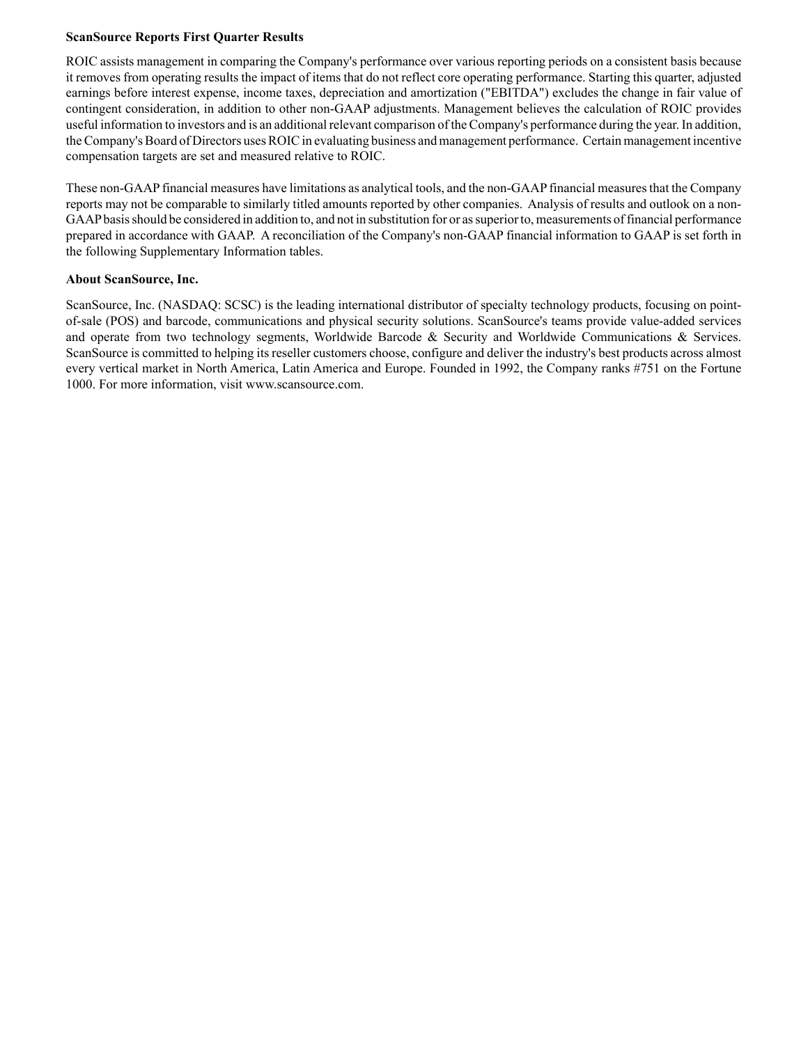### **ScanSource Reports First Quarter Results**

ROIC assists management in comparing the Company's performance over various reporting periods on a consistent basis because it removes from operating results the impact of items that do not reflect core operating performance. Starting this quarter, adjusted earnings before interest expense, income taxes, depreciation and amortization ("EBITDA") excludes the change in fair value of contingent consideration, in addition to other non-GAAP adjustments. Management believes the calculation of ROIC provides useful information to investors and is an additional relevant comparison of the Company's performance during the year. In addition, the Company's Board of Directors uses ROIC in evaluating business and management performance. Certain management incentive compensation targets are set and measured relative to ROIC.

These non-GAAPfinancial measures have limitations as analytical tools, and the non-GAAPfinancial measures that the Company reports may not be comparable to similarly titled amounts reported by other companies. Analysis of results and outlook on a non-GAAPbasis should be considered in addition to, and not in substitution for or as superior to, measurements of financial performance prepared in accordance with GAAP. A reconciliation of the Company's non-GAAPfinancial information to GAAPis set forth in the following Supplementary Information tables.

### **About ScanSource, Inc.**

ScanSource, Inc. (NASDAQ: SCSC) is the leading international distributor of specialty technology products, focusing on pointof-sale (POS) and barcode, communications and physical security solutions. ScanSource's teams provide value-added services and operate from two technology segments, Worldwide Barcode & Security and Worldwide Communications & Services. ScanSource is committed to helping its reseller customers choose, configure and deliver the industry's best products across almost every vertical market in North America, Latin America and Europe. Founded in 1992, the Company ranks #751 on the Fortune 1000. For more information, visit www.scansource.com.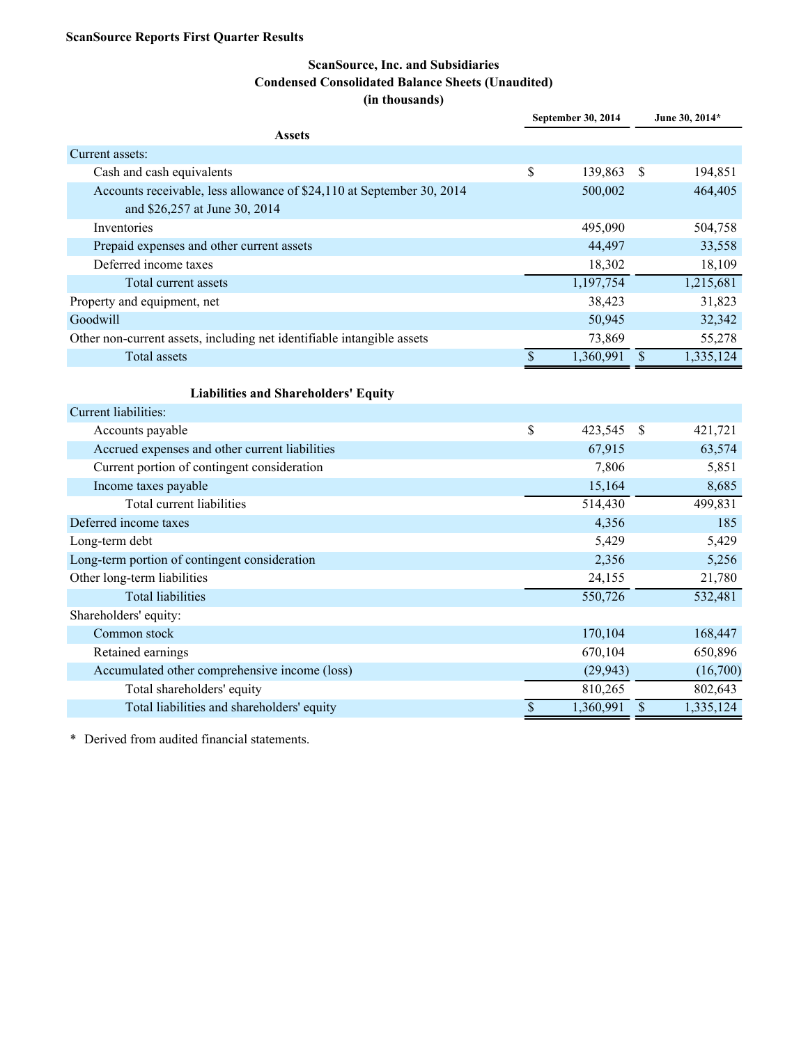# **ScanSource, Inc. and Subsidiaries Condensed Consolidated Balance Sheets (Unaudited) (in thousands)**

|                                                                                                        |                          | September 30, 2014 |                           | June 30, 2014* |
|--------------------------------------------------------------------------------------------------------|--------------------------|--------------------|---------------------------|----------------|
| <b>Assets</b>                                                                                          |                          |                    |                           |                |
| Current assets:                                                                                        |                          |                    |                           |                |
| Cash and cash equivalents                                                                              | \$                       | 139,863            | $\mathbb{S}$              | 194,851        |
| Accounts receivable, less allowance of \$24,110 at September 30, 2014<br>and \$26,257 at June 30, 2014 |                          | 500,002            |                           | 464,405        |
| Inventories                                                                                            |                          | 495,090            |                           | 504,758        |
| Prepaid expenses and other current assets                                                              |                          | 44,497             |                           | 33,558         |
| Deferred income taxes                                                                                  |                          | 18,302             |                           | 18,109         |
| Total current assets                                                                                   |                          | 1,197,754          |                           | 1,215,681      |
| Property and equipment, net                                                                            |                          | 38,423             |                           | 31,823         |
| Goodwill                                                                                               |                          | 50,945             |                           | 32,342         |
| Other non-current assets, including net identifiable intangible assets                                 |                          | 73,869             |                           | 55,278         |
| <b>Total assets</b>                                                                                    | $\overline{\mathcal{S}}$ | 1,360,991          | $\mathcal{S}$             | 1,335,124      |
|                                                                                                        |                          |                    |                           |                |
| <b>Liabilities and Shareholders' Equity</b>                                                            |                          |                    |                           |                |
| Current liabilities:                                                                                   |                          |                    |                           |                |
| Accounts payable                                                                                       | \$                       | 423,545            | \$                        | 421,721        |
| Accrued expenses and other current liabilities                                                         |                          | 67,915             |                           | 63,574         |
| Current portion of contingent consideration                                                            |                          | 7,806              |                           | 5,851          |
| Income taxes payable                                                                                   |                          | 15,164             |                           | 8,685          |
| Total current liabilities                                                                              |                          | 514,430            |                           | 499,831        |
| Deferred income taxes                                                                                  |                          | 4,356              |                           | 185            |
| Long-term debt                                                                                         |                          | 5,429              |                           | 5,429          |
| Long-term portion of contingent consideration                                                          |                          | 2,356              |                           | 5,256          |
| Other long-term liabilities                                                                            |                          | 24,155             |                           | 21,780         |
| <b>Total liabilities</b>                                                                               |                          | 550,726            |                           | 532,481        |
| Shareholders' equity:                                                                                  |                          |                    |                           |                |
| Common stock                                                                                           |                          | 170,104            |                           | 168,447        |
| Retained earnings                                                                                      |                          | 670,104            |                           | 650,896        |
| Accumulated other comprehensive income (loss)                                                          |                          | (29, 943)          |                           | (16,700)       |
| Total shareholders' equity                                                                             |                          | 810,265            |                           | 802,643        |
| Total liabilities and shareholders' equity                                                             | $\$$                     | 1,360,991          | $\boldsymbol{\mathsf{S}}$ | 1,335,124      |

\* Derived from audited financial statements.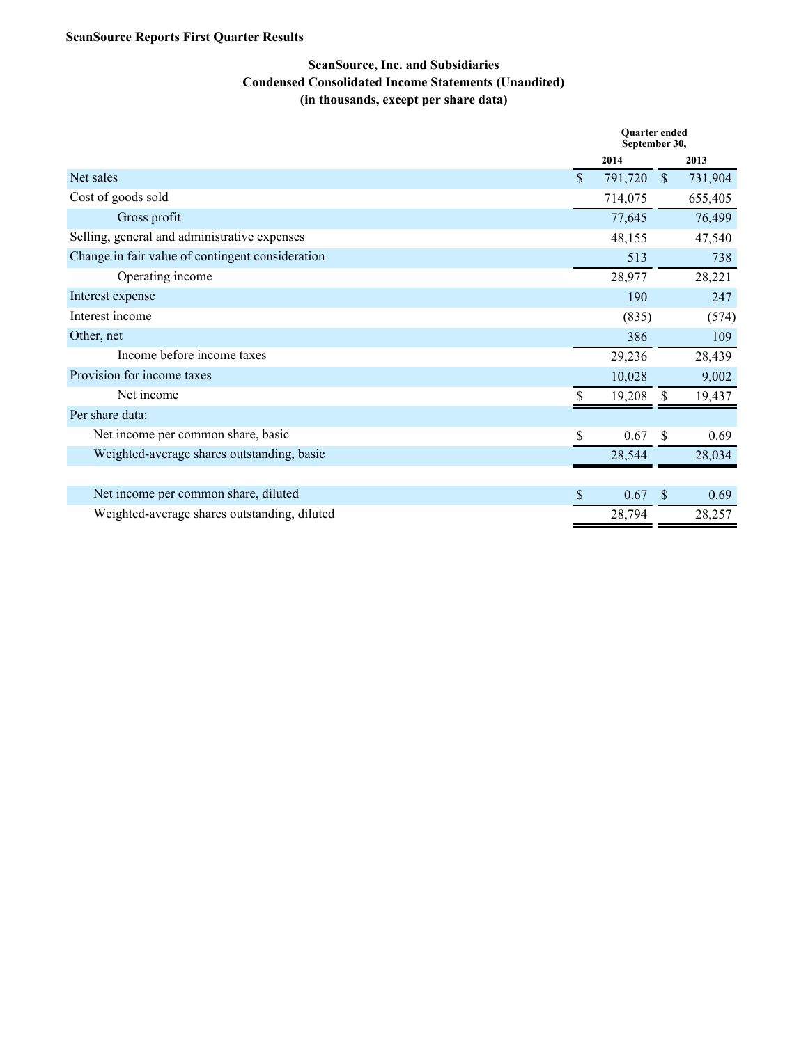# **ScanSource Reports First Quarter Results**

# **ScanSource, Inc. and Subsidiaries Condensed Consolidated Income Statements (Unaudited) (in thousands, except per share data)**

|                                                  |                    | <b>Ouarter</b> ended<br>September 30, |              |         |  |  |
|--------------------------------------------------|--------------------|---------------------------------------|--------------|---------|--|--|
|                                                  |                    | 2014                                  |              | 2013    |  |  |
| Net sales                                        | $\mathbf{\hat{s}}$ | 791,720                               | <sup>S</sup> | 731,904 |  |  |
| Cost of goods sold                               |                    | 714,075                               |              | 655,405 |  |  |
| Gross profit                                     |                    | 77,645                                |              | 76,499  |  |  |
| Selling, general and administrative expenses     |                    | 48,155                                |              | 47,540  |  |  |
| Change in fair value of contingent consideration |                    | 513                                   |              | 738     |  |  |
| Operating income                                 |                    | 28,977                                |              | 28,221  |  |  |
| Interest expense                                 |                    | 190                                   |              | 247     |  |  |
| Interest income                                  |                    | (835)                                 |              | (574)   |  |  |
| Other, net                                       |                    | 386                                   |              | 109     |  |  |
| Income before income taxes                       |                    | 29,236                                |              | 28,439  |  |  |
| Provision for income taxes                       |                    | 10,028                                |              | 9,002   |  |  |
| Net income                                       |                    | 19,208                                | \$.          | 19,437  |  |  |
| Per share data:                                  |                    |                                       |              |         |  |  |
| Net income per common share, basic               | $\mathsf{\$}$      | 0.67                                  | -S           | 0.69    |  |  |
| Weighted-average shares outstanding, basic       |                    | 28,544                                |              | 28,034  |  |  |
|                                                  |                    |                                       |              |         |  |  |
| Net income per common share, diluted             | \$                 | 0.67                                  | <sup>S</sup> | 0.69    |  |  |
| Weighted-average shares outstanding, diluted     |                    | 28,794                                |              | 28,257  |  |  |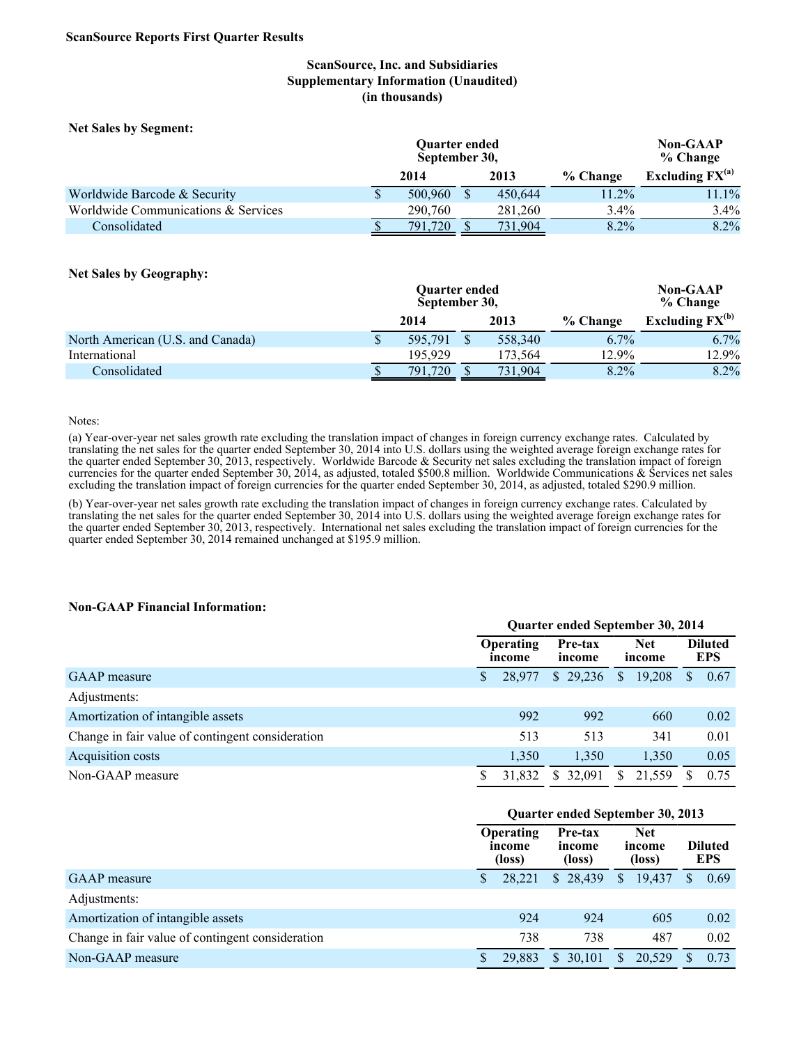### **ScanSource, Inc. and Subsidiaries Supplementary Information (Unaudited) (in thousands)**

**Net Sales by Segment:**

|                                     | Quarter ended<br>September 30, | <b>Non-GAAP</b><br>% Change |          |                      |
|-------------------------------------|--------------------------------|-----------------------------|----------|----------------------|
|                                     | 2014                           | 2013                        | % Change | Excluding $FX^{(a)}$ |
| Worldwide Barcode & Security        | \$<br>500,960                  | 450.644                     | 11.2%    | 11.1%                |
| Worldwide Communications & Services | 290,760                        | 281.260                     | $3.4\%$  | $3.4\%$              |
| Consolidated                        | 791.720                        | 731,904                     | 8.2%     | 8.2%                 |

#### **Net Sales by Geography:**

|                                  |   | Quarter ended<br>September 30, | <b>Non-GAAP</b><br>% Change |         |          |                      |
|----------------------------------|---|--------------------------------|-----------------------------|---------|----------|----------------------|
|                                  |   | 2014                           |                             | 2013    | % Change | Excluding $FX^{(b)}$ |
| North American (U.S. and Canada) | P | 595.791                        |                             | 558.340 | $6.7\%$  | 6.7%                 |
| International                    |   | 195.929                        |                             | 173.564 | 12.9%    | 12.9%                |
| Consolidated                     |   | 791.<br>720                    |                             | 731,904 | 8.2%     | 8.2%                 |

#### Notes:

(a) Year-over-year net sales growth rate excluding the translation impact of changes in foreign currency exchange rates. Calculated by translating the net sales for the quarter ended September 30, 2014 into U.S. dollars using the weighted average foreign exchange rates for the quarter ended September 30, 2013, respectively. Worldwide Barcode & Security net sales excluding the translation impact of foreign currencies for the quarter ended September 30, 2014, as adjusted, totaled \$500.8 million. Worldwide Communications & Services net sales excluding the translation impact of foreign currencies for the quarter ended September 30, 2014, as adjusted, totaled \$290.9 million.

(b) Year-over-year net sales growth rate excluding the translation impact of changes in foreign currency exchange rates. Calculated by translating the net sales for the quarter ended September 30, 2014 into U.S. dollars using the weighted average foreign exchange rates for the quarter ended September 30, 2013, respectively. International net sales excluding the translation impact of foreign currencies for the quarter ended September 30, 2014 remained unchanged at \$195.9 million.

#### **Non-GAAP Financial Information:**

|                                                  | Quarter ended September 30, 2014 |                                                 |              |                      |        |  |                              |
|--------------------------------------------------|----------------------------------|-------------------------------------------------|--------------|----------------------|--------|--|------------------------------|
|                                                  |                                  | <b>Operating</b><br>Pre-tax<br>income<br>income |              | <b>Net</b><br>income |        |  | <b>Diluted</b><br><b>EPS</b> |
| <b>GAAP</b> measure                              | S                                | 28,977                                          | \$29,236     | \$                   | 19,208 |  | 0.67                         |
| Adjustments:                                     |                                  |                                                 |              |                      |        |  |                              |
| Amortization of intangible assets                |                                  | 992                                             | 992          |                      | 660    |  | 0.02                         |
| Change in fair value of contingent consideration |                                  | 513                                             | 513          |                      | 341    |  | 0.01                         |
| Acquisition costs                                |                                  | 1,350                                           | 1.350        |                      | 1,350  |  | 0.05                         |
| Non-GAAP measure                                 | \$                               | 31,832                                          | 32.091<br>S. | S.                   | 21,559 |  | 0.75                         |

**Quarter ended September 30, 2014**

|                                                  | Quarter ended September 30, 2013                                    |        |                                |          |              |                              |   |      |  |
|--------------------------------------------------|---------------------------------------------------------------------|--------|--------------------------------|----------|--------------|------------------------------|---|------|--|
|                                                  | Pre-tax<br><b>Operating</b><br>income<br>income<br>(loss)<br>(loss) |        | <b>Net</b><br>income<br>(loss) |          |              | <b>Diluted</b><br><b>EPS</b> |   |      |  |
| GAAP measure                                     | \$                                                                  | 28,221 |                                | \$28,439 | $\mathbb{S}$ | 19,437                       | S | 0.69 |  |
| Adjustments:                                     |                                                                     |        |                                |          |              |                              |   |      |  |
| Amortization of intangible assets                |                                                                     | 924    |                                | 924      |              | 605                          |   | 0.02 |  |
| Change in fair value of contingent consideration |                                                                     | 738    |                                | 738      |              | 487                          |   | 0.02 |  |
| Non-GAAP measure                                 |                                                                     | 29,883 |                                | \$30,101 | S.           | 20,529                       |   | 0.73 |  |
|                                                  |                                                                     |        |                                |          |              |                              |   |      |  |